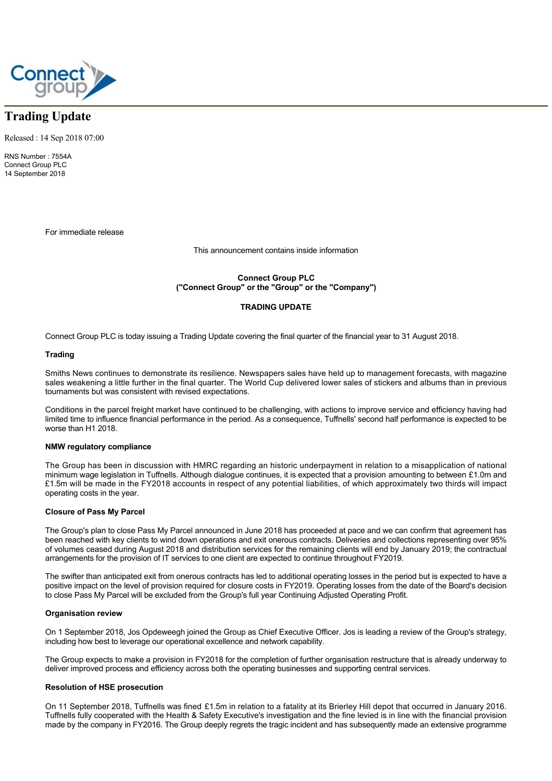

# **Trading Update**

Released : 14 Sep 2018 07:00

RNS Number : 7554A Connect Group PLC 14 September 2018

For immediate release

This announcement contains inside information

**Connect Group PLC ("Connect Group" or the "Group" or the "Company")**

# **TRADING UPDATE**

Connect Group PLC is today issuing a Trading Update covering the final quarter of the financial year to 31 August 2018.

# **Trading**

Smiths News continues to demonstrate its resilience. Newspapers sales have held up to management forecasts, with magazine sales weakening a little further in the final quarter. The World Cup delivered lower sales of stickers and albums than in previous tournaments but was consistent with revised expectations.

Conditions in the parcel freight market have continued to be challenging, with actions to improve service and efficiency having had limited time to influence financial performance in the period. As a consequence, Tuffnells' second half performance is expected to be worse than H1 2018.

# **NMW regulatory compliance**

The Group has been in discussion with HMRC regarding an historic underpayment in relation to a misapplication of national minimum wage legislation in Tuffnells. Although dialogue continues, it is expected that a provision amounting to between £1.0m and £1.5m will be made in the FY2018 accounts in respect of any potential liabilities, of which approximately two thirds will impact operating costs in the year.

### **Closure of Pass My Parcel**

The Group's plan to close Pass My Parcel announced in June 2018 has proceeded at pace and we can confirm that agreement has been reached with key clients to wind down operations and exit onerous contracts. Deliveries and collections representing over 95% of volumes ceased during August 2018 and distribution services for the remaining clients will end by January 2019; the contractual arrangements for the provision of IT services to one client are expected to continue throughout FY2019.

The swifter than anticipated exit from onerous contracts has led to additional operating losses in the period but is expected to have a positive impact on the level of provision required for closure costs in FY2019. Operating losses from the date of the Board's decision to close Pass My Parcel will be excluded from the Group's full year Continuing Adjusted Operating Profit.

#### **Organisation review**

On 1 September 2018, Jos Opdeweegh joined the Group as Chief Executive Officer. Jos is leading a review of the Group's strategy, including how best to leverage our operational excellence and network capability.

The Group expects to make a provision in FY2018 for the completion of further organisation restructure that is already underway to deliver improved process and efficiency across both the operating businesses and supporting central services.

# **Resolution of HSE prosecution**

On 11 September 2018, Tuffnells was fined £1.5m in relation to a fatality at its Brierley Hill depot that occurred in January 2016. Tuffnells fully cooperated with the Health & Safety Executive's investigation and the fine levied is in line with the financial provision made by the company in FY2016. The Group deeply regrets the tragic incident and has subsequently made an extensive programme